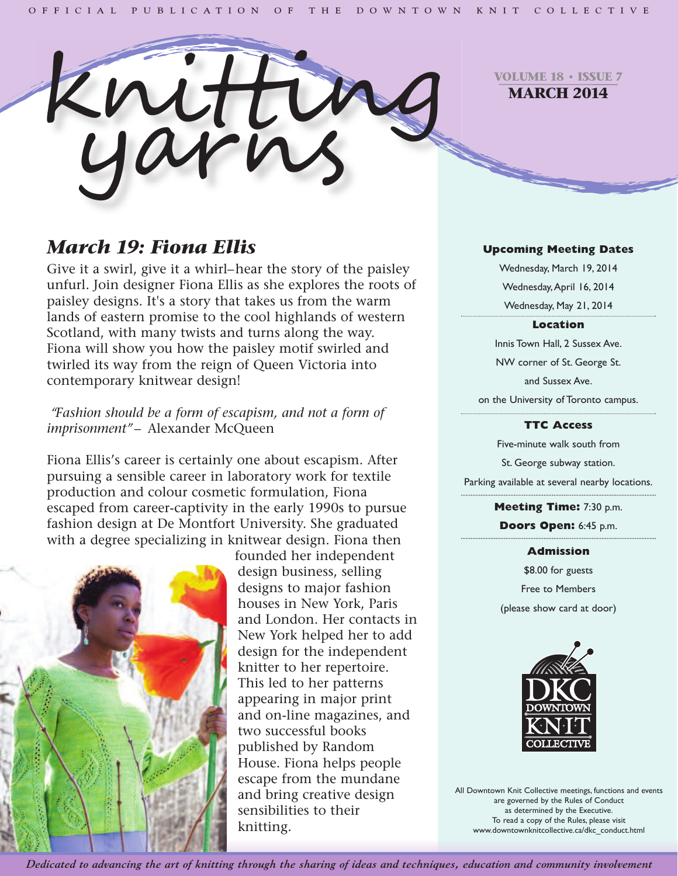

**VOLUME 18 • ISSUE 7 MARCH 2014**

# *March 19: Fiona Ellis*

Give it a swirl, give it a whirl–hear the story of the paisley unfurl. Join designer Fiona Ellis as she explores the roots of paisley designs. It's a story that takes us from the warm lands of eastern promise to the cool highlands of western Scotland, with many twists and turns along the way. Fiona will show you how the paisley motif swirled and twirled its way from the reign of Queen Victoria into contemporary knitwear design!

# *"Fashion should be a form of escapism, and not a form of imprisonment"*– Alexander McQueen

Fiona Ellis's career is certainly one about escapism. After pursuing a sensible career in laboratory work for textile production and colour cosmetic formulation, Fiona escaped from career-captivity in the early 1990s to pursue fashion design at De Montfort University. She graduated with a degree specializing in knitwear design. Fiona then



founded her independent design business, selling designs to major fashion houses in New York, Paris and London. Her contacts in New York helped her to add design for the independent knitter to her repertoire. This led to her patterns appearing in major print and on-line magazines, and two successful books published by Random House. Fiona helps people escape from the mundane and bring creative design sensibilities to their knitting.

#### **Upcoming Meeting Dates**

Wednesday, March 19, 2014 Wednesday,April 16, 2014 Wednesday, May 21, 2014

#### **Location**

Innis Town Hall, 2 Sussex Ave. NW corner of St. George St. and Sussex Ave. on the University of Toronto campus.

#### **TTC Access**

Five-minute walk south from St. George subway station. Parking available at several nearby locations.

> **Meeting Time:** 7:30 p.m. **Doors Open:** 6:45 p.m.

#### **Admission**

\$8.00 for guests Free to Members (please show card at door)



All Downtown Knit Collective meetings, functions and events are governed by the Rules of Conduct as determined by the Executive. To read a copy of the Rules, please visit www.downtownknitcollective.ca/dkc\_conduct.html

Dedicated to advancing the art of knitting through the sharing of ideas and techniques, education and community involvement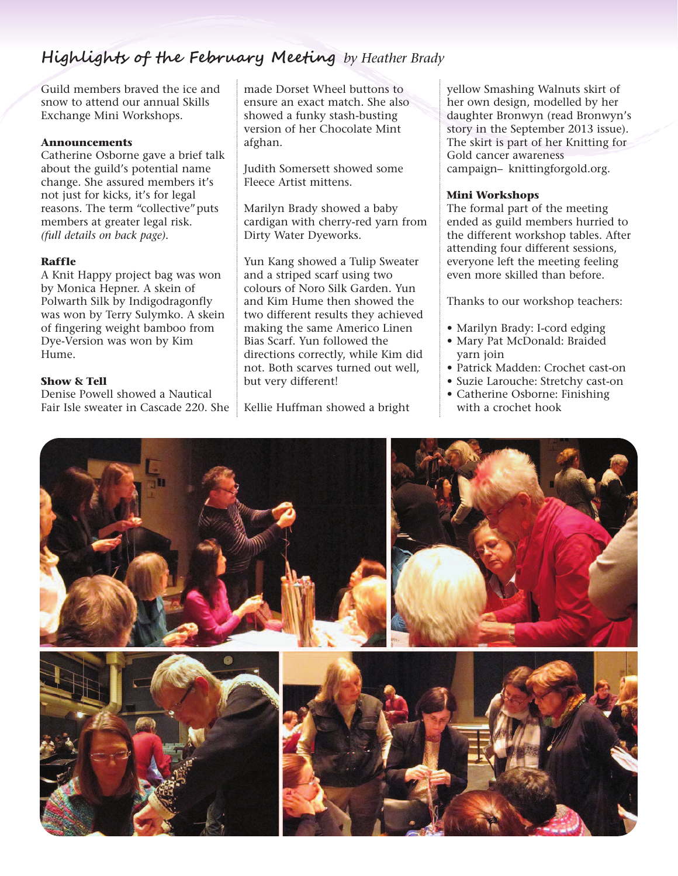# **Highlights of the February Meeting** *by Heather Brady*

Guild members braved the ice and snow to attend our annual Skills Exchange Mini Workshops.

#### **Announcements**

Catherine Osborne gave a brief talk about the guild's potential name change. She assured members it's not just for kicks, it's for legal reasons. The term "collective"puts members at greater legal risk. *(full details on back page).*

#### **Raffle**

A Knit Happy project bag was won by Monica Hepner. A skein of Polwarth Silk by Indigodragonfly was won by Terry Sulymko. A skein of fingering weight bamboo from Dye-Version was won by Kim Hume.

#### **Show & Tell**

Denise Powell showed a Nautical Fair Isle sweater in Cascade 220. She made Dorset Wheel buttons to ensure an exact match. She also showed a funky stash-busting version of her Chocolate Mint afghan.

Judith Somersett showed some Fleece Artist mittens.

Marilyn Brady showed a baby cardigan with cherry-red yarn from Dirty Water Dyeworks.

Yun Kang showed a Tulip Sweater and a striped scarf using two colours of Noro Silk Garden. Yun and Kim Hume then showed the two different results they achieved making the same Americo Linen Bias Scarf. Yun followed the directions correctly, while Kim did not. Both scarves turned out well, but very different!

Kellie Huffman showed a bright

yellow Smashing Walnuts skirt of her own design, modelled by her daughter Bronwyn (read Bronwyn's story in the September 2013 issue). The skirt is part of her Knitting for Gold cancer awareness campaign– knittingforgold.org.

#### **Mini Workshops**

The formal part of the meeting ended as guild members hurried to the different workshop tables. After attending four different sessions, everyone left the meeting feeling even more skilled than before.

Thanks to our workshop teachers:

- Marilyn Brady: I-cord edging
- Mary Pat McDonald: Braided yarn join
- Patrick Madden: Crochet cast-on
- Suzie Larouche: Stretchy cast-on
- Catherine Osborne: Finishing with a crochet hook

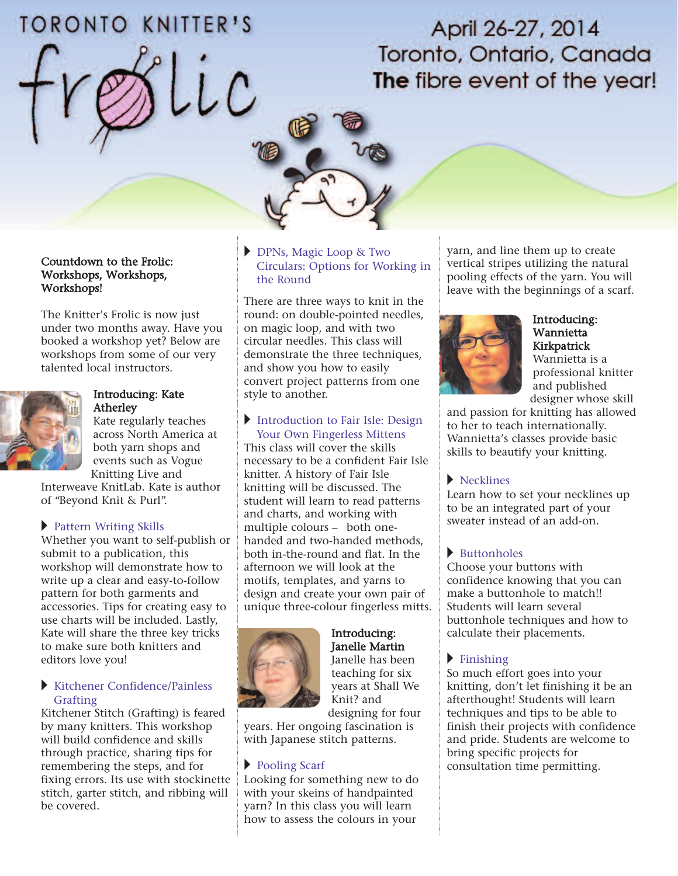# **TORONTO KNITTER'S**

April 26-27, 2014 Toronto, Ontario, Canada The fibre event of the year!

#### Countdown to the Frolic: Workshops, Workshops, Workshops!

The Knitter's Frolic is now just under two months away. Have you booked a workshop yet? Below are workshops from some of our very talented local instructors.



#### Introducing: Kate Atherley

Kate regularly teaches across North America at both yarn shops and events such as Vogue Knitting Live and

Interweave KnitLab. Kate is author of "Beyond Knit & Purl".

## ▸ Pattern Writing Skills

Whether you want to self-publish or submit to a publication, this workshop will demonstrate how to write up a clear and easy-to-follow pattern for both garments and accessories. Tips for creating easy to use charts will be included. Lastly, Kate will share the three key tricks to make sure both knitters and editors love you!

#### **Kitchener Confidence/Painless** Grafting

Kitchener Stitch (Grafting) is feared by many knitters. This workshop will build confidence and skills through practice, sharing tips for remembering the steps, and for fixing errors. Its use with stockinette stitch, garter stitch, and ribbing will be covered.

#### u DPNs, Magic Loop & Two Circulars: Options for Working in the Round

There are three ways to knit in the round: on double-pointed needles, on magic loop, and with two circular needles. This class will demonstrate the three techniques, and show you how to easily convert project patterns from one style to another.

#### Introduction to Fair Isle: Design Your Own Fingerless Mittens

This class will cover the skills necessary to be a confident Fair Isle knitter. A history of Fair Isle knitting will be discussed. The student will learn to read patterns and charts, and working with multiple colours – both onehanded and two-handed methods, both in-the-round and flat. In the afternoon we will look at the motifs, templates, and yarns to design and create your own pair of unique three-colour fingerless mitts.



#### Introducing: Janelle Martin Janelle has been teaching for six years at Shall We Knit? and

designing for four years. Her ongoing fascination is with Japanese stitch patterns.

# Pooling Scarf

Looking for something new to do with your skeins of handpainted yarn? In this class you will learn how to assess the colours in your

yarn, and line them up to create vertical stripes utilizing the natural pooling effects of the yarn. You will leave with the beginnings of a scarf.



#### Introducing: Wannietta Kirkpatrick

Wannietta is a professional knitter and published designer whose skill

and passion for knitting has allowed to her to teach internationally. Wannietta's classes provide basic skills to beautify your knitting.

## $\blacktriangleright$  Necklines

Learn how to set your necklines up to be an integrated part of your sweater instead of an add-on.

# $\blacktriangleright$  Buttonholes

Choose your buttons with confidence knowing that you can make a buttonhole to match!! Students will learn several buttonhole techniques and how to calculate their placements.

# $\blacktriangleright$  Finishing

So much effort goes into your knitting, don't let finishing it be an afterthought! Students will learn techniques and tips to be able to finish their projects with confidence and pride. Students are welcome to bring specific projects for consultation time permitting.